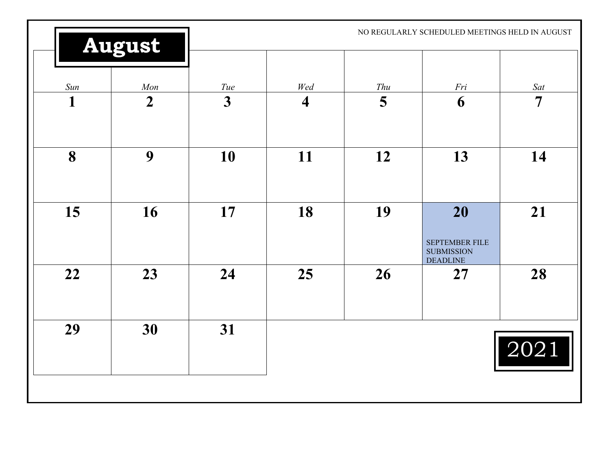|          | <b>August</b>           |                                |                                |          | NO REGULARLY SCHEDULED MEETINGS HELD IN AUGUST               |                       |
|----------|-------------------------|--------------------------------|--------------------------------|----------|--------------------------------------------------------------|-----------------------|
| Sun<br>1 | Mon<br>$\boldsymbol{2}$ | Tue<br>$\overline{\mathbf{3}}$ | Wed<br>$\overline{\mathbf{4}}$ | Thu<br>5 | Fri<br>6                                                     | Sat<br>$\overline{7}$ |
|          |                         |                                |                                |          |                                                              |                       |
| 8        | 9                       | 10                             | 11                             | 12       | 13                                                           | 14                    |
| 15       | 16                      | 17                             | 18                             | 19       | 20<br>SEPTEMBER FILE<br><b>SUBMISSION</b><br><b>DEADLINE</b> | 21                    |
| 22       | 23                      | 24                             | 25                             | 26       | 27                                                           | 28                    |
| 29       | 30                      | 31                             |                                |          |                                                              | 2021                  |
|          |                         |                                |                                |          |                                                              |                       |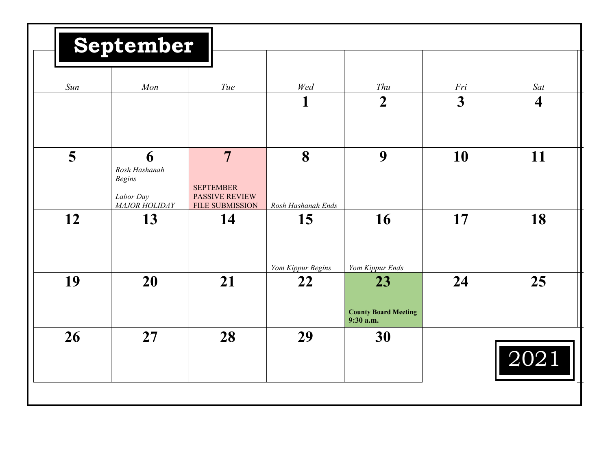|     | September                                                         |                                                                                       |                         |                                                |                         |                         |
|-----|-------------------------------------------------------------------|---------------------------------------------------------------------------------------|-------------------------|------------------------------------------------|-------------------------|-------------------------|
|     |                                                                   |                                                                                       |                         |                                                |                         |                         |
| Sun | Mon                                                               | Tue                                                                                   | Wed                     | Thu                                            | Fri                     | Sat                     |
|     |                                                                   |                                                                                       | 1                       | $\boldsymbol{2}$                               | $\overline{\mathbf{3}}$ | $\overline{\mathbf{4}}$ |
| 5   | 6<br>Rosh Hashanah<br><b>Begins</b><br>Labor Day<br>MAJOR HOLIDAY | $\overline{7}$<br><b>SEPTEMBER</b><br><b>PASSIVE REVIEW</b><br><b>FILE SUBMISSION</b> | 8<br>Rosh Hashanah Ends | 9                                              | 10                      | 11                      |
| 12  | 13                                                                | 14                                                                                    | 15<br>Yom Kippur Begins | 16<br>Yom Kippur Ends                          | 17                      | 18                      |
| 19  | 20                                                                | 21                                                                                    | 22                      | 23<br><b>County Board Meeting</b><br>9:30 a.m. | 24                      | 25                      |
| 26  | 27                                                                | 28                                                                                    | 29                      | 30                                             |                         | 2021                    |
|     |                                                                   |                                                                                       |                         |                                                |                         |                         |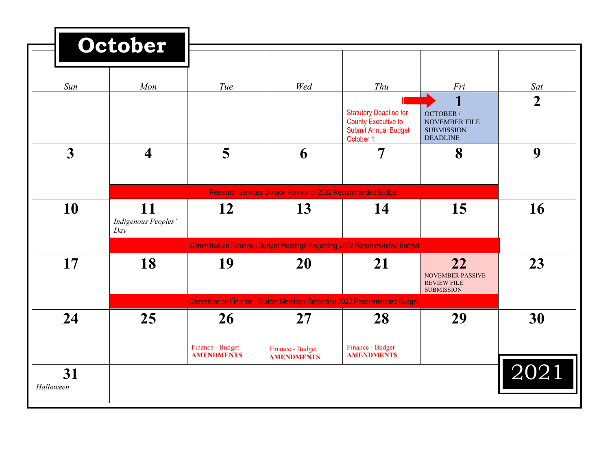|                 | October                          |                                       |                                                                     |                                                                                                         |                                                                    |                |
|-----------------|----------------------------------|---------------------------------------|---------------------------------------------------------------------|---------------------------------------------------------------------------------------------------------|--------------------------------------------------------------------|----------------|
|                 |                                  |                                       |                                                                     |                                                                                                         |                                                                    |                |
| Sun             | Mon                              | Tue                                   | Wed                                                                 | Thu                                                                                                     | Fri                                                                | Sat            |
|                 |                                  |                                       |                                                                     | <b>Statutory Deadline for</b><br><b>County Executive to</b><br><b>Submit Annual Budget</b><br>October 1 | OCTOBER /<br>NOVEMBER FILE<br><b>SUBMISSION</b><br><b>DEADLINE</b> | $\overline{2}$ |
| $\overline{3}$  | $\overline{\mathbf{4}}$          | 5                                     | 6                                                                   | $\overline{7}$                                                                                          | 8                                                                  | 9              |
|                 |                                  |                                       | <b>Research Services Division Review of 2022 Recommended Budget</b> |                                                                                                         |                                                                    |                |
| 10              | 11<br>Indigenous Peoples'<br>Day | <b>12</b>                             | 13                                                                  | 14                                                                                                      | 15                                                                 | 16             |
|                 |                                  |                                       |                                                                     | Committee on Finance - Budget Meetings Regarding 2022 Recommended Budget                                |                                                                    |                |
| 17              | 18                               | 19                                    | 20                                                                  | 21                                                                                                      | 22<br>NOVEMBER PASSIVE<br><b>REVIEW FILE</b><br><b>SUBMISSION</b>  | 23             |
|                 |                                  |                                       |                                                                     | Committee on Finance - Budget Meetings Regarding 2022 Recommended Budget                                |                                                                    |                |
| 24              | 25                               | <b>26</b>                             | <b>27</b>                                                           | 28                                                                                                      | 29                                                                 | 30             |
|                 |                                  | Finance - Budget<br><b>AMENDMENTS</b> | Finance - Budget<br><b>AMENDMENTS</b>                               | Finance - Budget<br><b>AMENDMENTS</b>                                                                   |                                                                    |                |
| 31<br>Halloween |                                  |                                       |                                                                     |                                                                                                         |                                                                    | 2021           |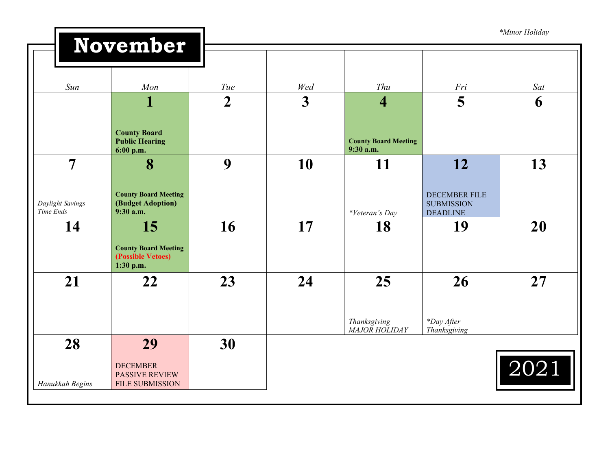|                                                 | November                                                                 |                |                         |                                                        |                                                                    | *Minor Holiday |
|-------------------------------------------------|--------------------------------------------------------------------------|----------------|-------------------------|--------------------------------------------------------|--------------------------------------------------------------------|----------------|
|                                                 |                                                                          |                |                         |                                                        |                                                                    |                |
| Sun                                             | Mon                                                                      | Tue            | Wed                     | Thu                                                    | Fri                                                                | Sat            |
|                                                 | 1<br><b>County Board</b><br><b>Public Hearing</b>                        | $\overline{2}$ | $\overline{\mathbf{3}}$ | $\overline{\mathbf{4}}$<br><b>County Board Meeting</b> | 5                                                                  | 6              |
|                                                 | 6:00 p.m.                                                                |                |                         | 9:30 a.m.                                              |                                                                    |                |
| $\overline{7}$<br>Daylight Savings<br>Time Ends | 8<br><b>County Board Meeting</b><br>(Budget Adoption)<br>9:30 a.m.       | 9              | 10                      | 11<br>*Veteran's Day                                   | 12<br><b>DECEMBER FILE</b><br><b>SUBMISSION</b><br><b>DEADLINE</b> | 13             |
| 14                                              | 15<br><b>County Board Meeting</b><br>(Possible Vetoes)<br>1:30 p.m.      | 16             | 17                      | 18                                                     | 19                                                                 | 20             |
| 21                                              | 22                                                                       | 23             | 24                      | 25<br>Thanksgiving<br>MAJOR HOLIDAY                    | 26<br>*Day After<br>Thanksgiving                                   | 27             |
| 28<br>Hanukkah Begins                           | 29<br><b>DECEMBER</b><br><b>PASSIVE REVIEW</b><br><b>FILE SUBMISSION</b> | 30             |                         |                                                        |                                                                    | 2021           |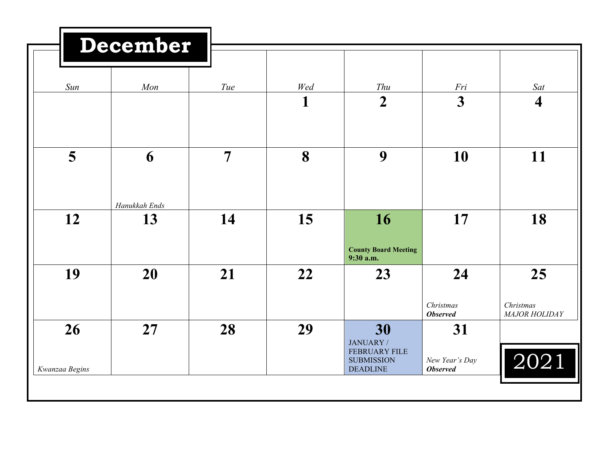|                | December            |                |          |                                                |                                    |                                |
|----------------|---------------------|----------------|----------|------------------------------------------------|------------------------------------|--------------------------------|
| Sun            | Mon                 | Tue            | Wed<br>1 | Thu<br>$\overline{2}$                          | Fri<br>$\overline{3}$              | Sat<br>$\overline{\mathbf{4}}$ |
| 5              | 6                   | $\overline{7}$ | 8        | 9                                              | 10                                 | 11                             |
| 12             | Hanukkah Ends<br>13 | 14             | 15       | 16                                             | 17                                 | 18                             |
| 19             | 20                  | 21             | 22       | <b>County Board Meeting</b><br>9:30 a.m.<br>23 | 24                                 | 25                             |
| 26             | 27                  | 28             | 29       | 30<br>JANUARY /<br><b>FEBRUARY FILE</b>        | Christmas<br><b>Observed</b><br>31 | Christmas<br>MAJOR HOLIDAY     |
| Kwanzaa Begins |                     |                |          | <b>SUBMISSION</b><br><b>DEADLINE</b>           | New Year's Day<br><b>Observed</b>  | 2021                           |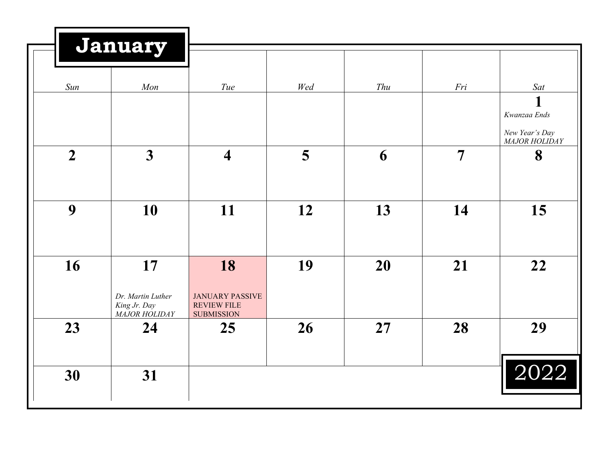|                | <b>January</b>                                           |                                                                         |     |     |                |                                             |
|----------------|----------------------------------------------------------|-------------------------------------------------------------------------|-----|-----|----------------|---------------------------------------------|
| Sun            | Mon                                                      | Tue                                                                     | Wed | Thu | Fri            | Sat<br>1<br>Kwanzaa Ends                    |
| $\overline{2}$ | $\overline{\mathbf{3}}$                                  | $\overline{\mathbf{4}}$                                                 | 5   | 6   | $\overline{7}$ | New Year's Day<br><b>MAJOR HOLIDAY</b><br>8 |
| 9              | 10                                                       | 11                                                                      | 12  | 13  | 14             | 15                                          |
| 16             | 17<br>Dr. Martin Luther<br>King Jr. Day<br>MAJOR HOLIDAY | 18<br><b>JANUARY PASSIVE</b><br><b>REVIEW FILE</b><br><b>SUBMISSION</b> | 19  | 20  | 21             | 22                                          |
| 23             | 24                                                       | 25                                                                      | 26  | 27  | 28             | 29                                          |
| 30             | 31                                                       |                                                                         |     |     |                | 2022                                        |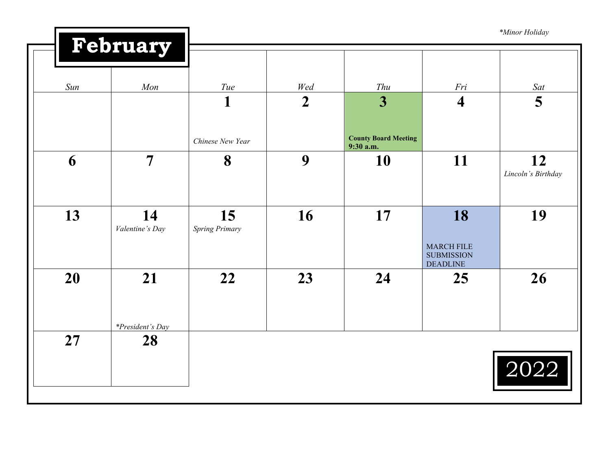|     |                         |                             |                |                                          |                                                           | *Minor Holiday           |
|-----|-------------------------|-----------------------------|----------------|------------------------------------------|-----------------------------------------------------------|--------------------------|
|     | February                |                             |                |                                          |                                                           |                          |
| Sun | Mon                     | Tue                         | Wed            | Thu                                      | Fri                                                       | Sat                      |
|     |                         | $\mathbf{1}$                | $\overline{2}$ | 3                                        | $\overline{\mathbf{4}}$                                   | 5                        |
|     |                         | Chinese New Year            |                | <b>County Board Meeting</b><br>9:30 a.m. |                                                           |                          |
| 6   | $\overline{7}$          | 8                           | 9              | 10                                       | 11                                                        | 12<br>Lincoln's Birthday |
|     |                         |                             |                |                                          |                                                           |                          |
| 13  | 14<br>Valentine's Day   | 15<br><b>Spring Primary</b> | 16             | 17                                       | 18                                                        | 19                       |
|     |                         |                             |                |                                          | <b>MARCH FILE</b><br><b>SUBMISSION</b><br><b>DEADLINE</b> |                          |
| 20  | 21                      | 22                          | 23             | 24                                       | 25                                                        | 26                       |
|     | <i>*President's Day</i> |                             |                |                                          |                                                           |                          |
| 27  | 28                      |                             |                |                                          |                                                           |                          |
|     |                         |                             |                |                                          |                                                           | $\overline{2022}$        |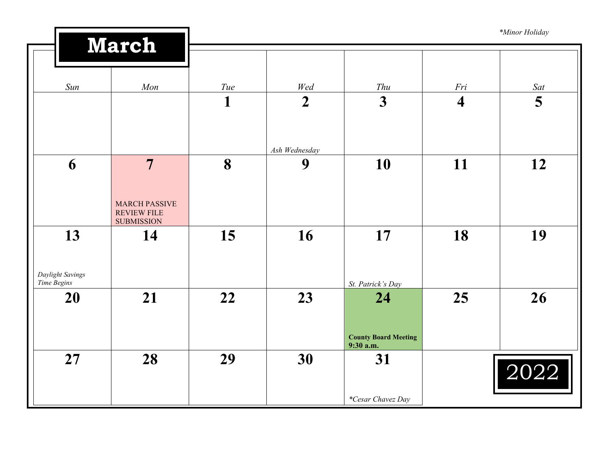| <b>March</b><br>Sun<br>Mon<br>Tue<br>Wed<br>Thu<br>Fri<br>$\overline{\mathbf{3}}$<br>$\mathbf{1}$<br>$\overline{2}$<br>$\overline{\mathbf{4}}$<br>Ash Wednesday<br>8<br>6<br>$\overline{7}$<br>10<br>11<br>9<br><b>MARCH PASSIVE</b><br><b>REVIEW FILE</b><br><b>SUBMISSION</b> | *Minor Holiday |
|---------------------------------------------------------------------------------------------------------------------------------------------------------------------------------------------------------------------------------------------------------------------------------|----------------|
|                                                                                                                                                                                                                                                                                 |                |
|                                                                                                                                                                                                                                                                                 | Sat            |
|                                                                                                                                                                                                                                                                                 | 5              |
|                                                                                                                                                                                                                                                                                 |                |
|                                                                                                                                                                                                                                                                                 | 12             |
|                                                                                                                                                                                                                                                                                 |                |
| 16<br>17<br>18<br>13<br>15<br>14<br>Daylight Savings                                                                                                                                                                                                                            | 19             |
| Time Begins<br>St. Patrick's Day                                                                                                                                                                                                                                                |                |
| 21<br>22<br>23<br>25<br>20<br>24<br><b>County Board Meeting</b><br>9:30 a.m.                                                                                                                                                                                                    | 26             |
| 27<br>28<br>29<br>30<br>31<br>2022<br>*Cesar Chavez Day                                                                                                                                                                                                                         |                |